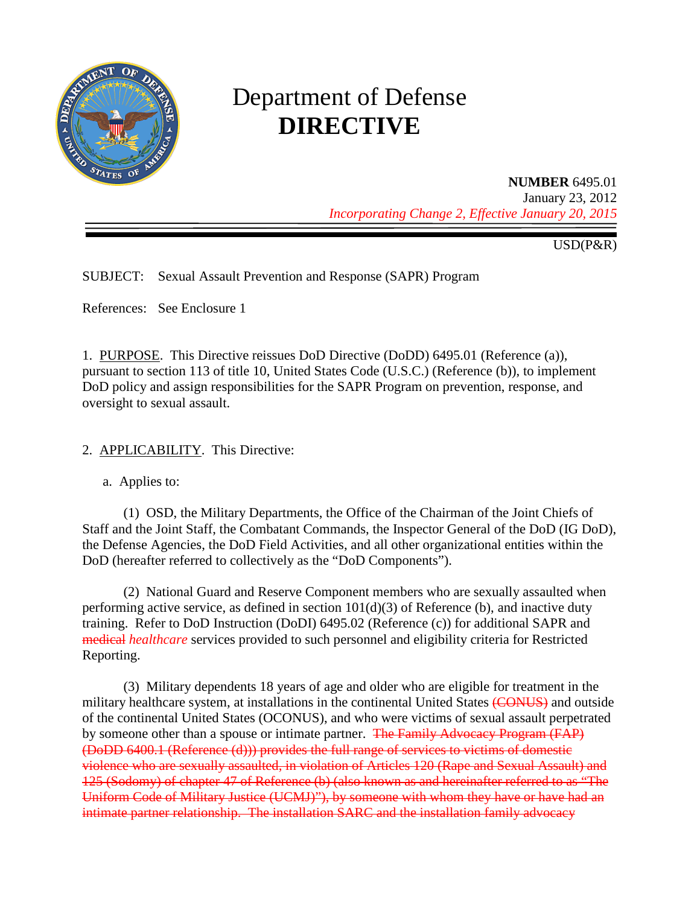

# Department of Defense **DIRECTIVE**

#### **NUMBER** 6495.01

January 23, 2012 *Incorporating Change 2, Effective January 20, 2015*

USD(P&R)

SUBJECT: Sexual Assault Prevention and Response (SAPR) Program

References: See Enclosure 1

1. PURPOSE. This Directive reissues DoD Directive (DoDD) 6495.01 (Reference (a)), pursuant to section 113 of title 10, United States Code (U.S.C.) (Reference (b)), to implement DoD policy and assign responsibilities for the SAPR Program on prevention, response, and oversight to sexual assault.

2. APPLICABILITY. This Directive:

a. Applies to:

(1) OSD, the Military Departments, the Office of the Chairman of the Joint Chiefs of Staff and the Joint Staff, the Combatant Commands, the Inspector General of the DoD (IG DoD), the Defense Agencies, the DoD Field Activities, and all other organizational entities within the DoD (hereafter referred to collectively as the "DoD Components").

(2) National Guard and Reserve Component members who are sexually assaulted when performing active service, as defined in section 101(d)(3) of Reference (b), and inactive duty training. Refer to DoD Instruction (DoDI) 6495.02 (Reference (c)) for additional SAPR and medical *healthcare* services provided to such personnel and eligibility criteria for Restricted Reporting.

(3) Military dependents 18 years of age and older who are eligible for treatment in the military healthcare system, at installations in the continental United States (CONUS) and outside of the continental United States (OCONUS), and who were victims of sexual assault perpetrated by someone other than a spouse or intimate partner. The Family Advocacy Program (FAP) (DoDD 6400.1 (Reference (d))) provides the full range of services to victims of domestic violence who are sexually assaulted, in violation of Articles 120 (Rape and Sexual Assault) and 125 (Sodomy) of chapter 47 of Reference (b) (also known as and hereinafter referred to as "The Uniform Code of Military Justice (UCMJ)"), by someone with whom they have or have had an intimate partner relationship. The installation SARC and the installation family advocacy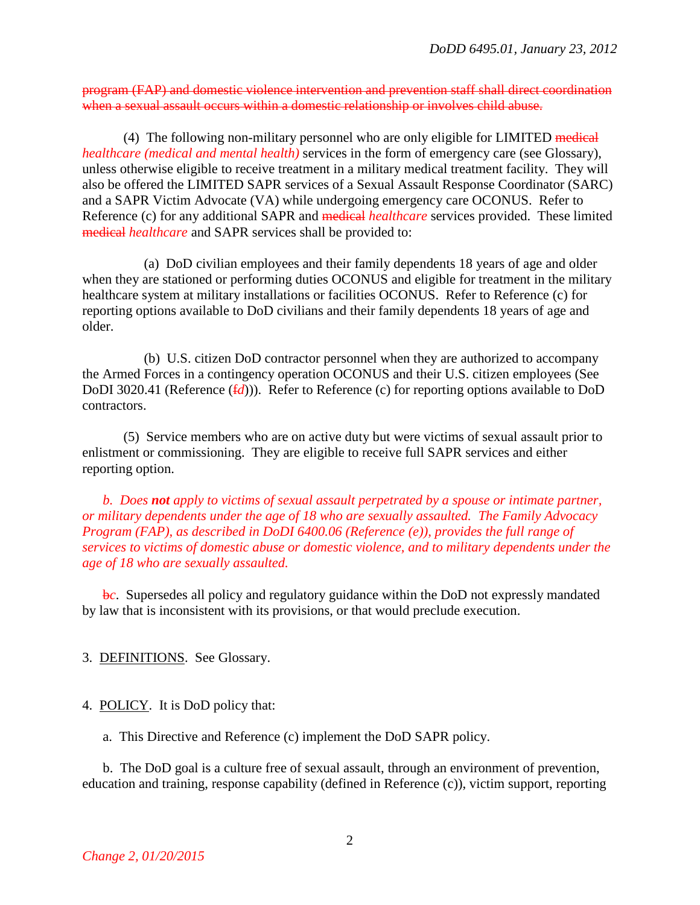program (FAP) and domestic violence intervention and prevention staff shall direct coordination when a sexual assault occurs within a domestic relationship or involves child abuse.

(4) The following non-military personnel who are only eligible for LIMITED medical *healthcare (medical and mental health)* services in the form of emergency care (see Glossary), unless otherwise eligible to receive treatment in a military medical treatment facility. They will also be offered the LIMITED SAPR services of a Sexual Assault Response Coordinator (SARC) and a SAPR Victim Advocate (VA) while undergoing emergency care OCONUS. Refer to Reference (c) for any additional SAPR and medical *healthcare* services provided. These limited medical *healthcare* and SAPR services shall be provided to:

(a) DoD civilian employees and their family dependents 18 years of age and older when they are stationed or performing duties OCONUS and eligible for treatment in the military healthcare system at military installations or facilities OCONUS. Refer to Reference (c) for reporting options available to DoD civilians and their family dependents 18 years of age and older.

(b) U.S. citizen DoD contractor personnel when they are authorized to accompany the Armed Forces in a contingency operation OCONUS and their U.S. citizen employees (See DoDI 3020.41 (Reference ( $f/d$ ))). Refer to Reference (c) for reporting options available to DoD contractors.

(5) Service members who are on active duty but were victims of sexual assault prior to enlistment or commissioning. They are eligible to receive full SAPR services and either reporting option.

*b. Does not apply to victims of sexual assault perpetrated by a spouse or intimate partner, or military dependents under the age of 18 who are sexually assaulted. The Family Advocacy Program (FAP), as described in DoDI 6400.06 (Reference (e)), provides the full range of services to victims of domestic abuse or domestic violence, and to military dependents under the age of 18 who are sexually assaulted.* 

b*c*. Supersedes all policy and regulatory guidance within the DoD not expressly mandated by law that is inconsistent with its provisions, or that would preclude execution.

3. DEFINITIONS. See Glossary.

4. POLICY. It is DoD policy that:

a. This Directive and Reference (c) implement the DoD SAPR policy.

b. The DoD goal is a culture free of sexual assault, through an environment of prevention, education and training, response capability (defined in Reference (c)), victim support, reporting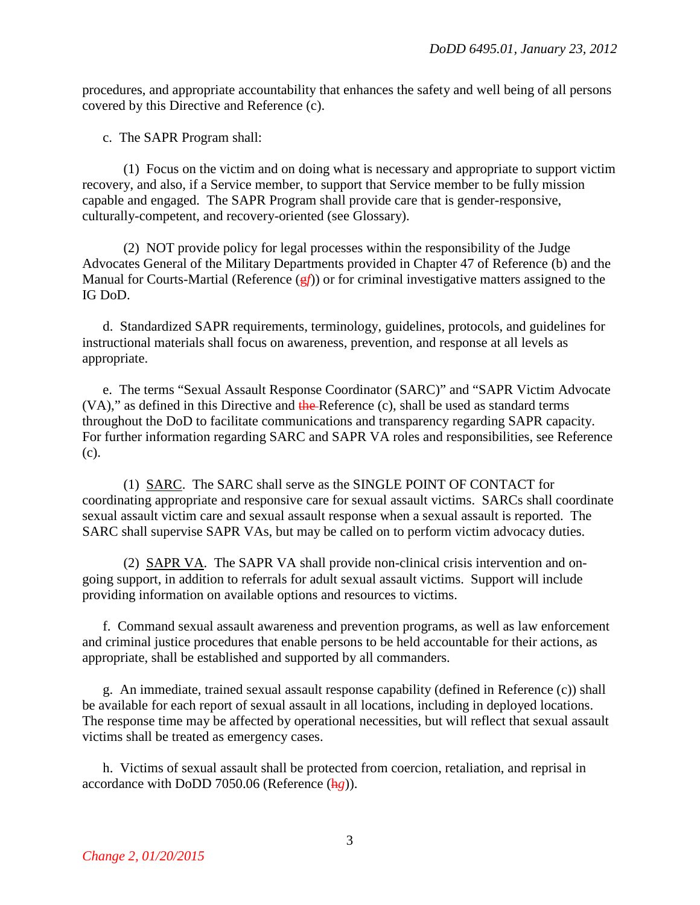procedures, and appropriate accountability that enhances the safety and well being of all persons covered by this Directive and Reference (c).

c. The SAPR Program shall:

(1) Focus on the victim and on doing what is necessary and appropriate to support victim recovery, and also, if a Service member, to support that Service member to be fully mission capable and engaged. The SAPR Program shall provide care that is gender-responsive, culturally-competent, and recovery-oriented (see Glossary).

(2) NOT provide policy for legal processes within the responsibility of the Judge Advocates General of the Military Departments provided in Chapter 47 of Reference (b) and the Manual for Courts-Martial (Reference  $(gf)$ ) or for criminal investigative matters assigned to the IG DoD.

d. Standardized SAPR requirements, terminology, guidelines, protocols, and guidelines for instructional materials shall focus on awareness, prevention, and response at all levels as appropriate.

e. The terms "Sexual Assault Response Coordinator (SARC)" and "SAPR Victim Advocate  $(VA)$ ," as defined in this Directive and the Reference  $(c)$ , shall be used as standard terms throughout the DoD to facilitate communications and transparency regarding SAPR capacity. For further information regarding SARC and SAPR VA roles and responsibilities, see Reference (c).

(1) SARC. The SARC shall serve as the SINGLE POINT OF CONTACT for coordinating appropriate and responsive care for sexual assault victims. SARCs shall coordinate sexual assault victim care and sexual assault response when a sexual assault is reported. The SARC shall supervise SAPR VAs, but may be called on to perform victim advocacy duties.

(2) SAPR VA. The SAPR VA shall provide non-clinical crisis intervention and ongoing support, in addition to referrals for adult sexual assault victims. Support will include providing information on available options and resources to victims.

f. Command sexual assault awareness and prevention programs, as well as law enforcement and criminal justice procedures that enable persons to be held accountable for their actions, as appropriate, shall be established and supported by all commanders.

g. An immediate, trained sexual assault response capability (defined in Reference (c)) shall be available for each report of sexual assault in all locations, including in deployed locations. The response time may be affected by operational necessities, but will reflect that sexual assault victims shall be treated as emergency cases.

h. Victims of sexual assault shall be protected from coercion, retaliation, and reprisal in accordance with DoDD 7050.06 (Reference (h*g*)).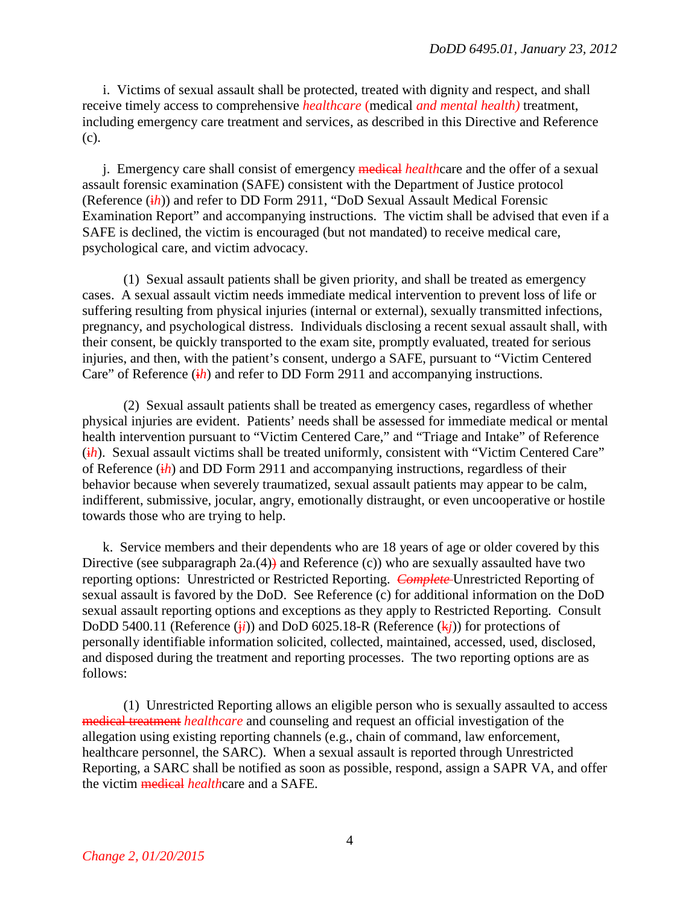i. Victims of sexual assault shall be protected, treated with dignity and respect, and shall receive timely access to comprehensive *healthcare* (medical *and mental health)* treatment, including emergency care treatment and services, as described in this Directive and Reference (c).

j. Emergency care shall consist of emergency medical *health*care and the offer of a sexual assault forensic examination (SAFE) consistent with the Department of Justice protocol (Reference (i*h*)) and refer to DD Form 2911, "DoD Sexual Assault Medical Forensic Examination Report" and accompanying instructions. The victim shall be advised that even if a SAFE is declined, the victim is encouraged (but not mandated) to receive medical care, psychological care, and victim advocacy.

(1) Sexual assault patients shall be given priority, and shall be treated as emergency cases. A sexual assault victim needs immediate medical intervention to prevent loss of life or suffering resulting from physical injuries (internal or external), sexually transmitted infections, pregnancy, and psychological distress. Individuals disclosing a recent sexual assault shall, with their consent, be quickly transported to the exam site, promptly evaluated, treated for serious injuries, and then, with the patient's consent, undergo a SAFE, pursuant to "Victim Centered Care" of Reference (*ih*) and refer to DD Form 2911 and accompanying instructions.

(2) Sexual assault patients shall be treated as emergency cases, regardless of whether physical injuries are evident. Patients' needs shall be assessed for immediate medical or mental health intervention pursuant to "Victim Centered Care," and "Triage and Intake" of Reference (ih). Sexual assault victims shall be treated uniformly, consistent with "Victim Centered Care" of Reference (i*h*) and DD Form 2911 and accompanying instructions, regardless of their behavior because when severely traumatized, sexual assault patients may appear to be calm, indifferent, submissive, jocular, angry, emotionally distraught, or even uncooperative or hostile towards those who are trying to help.

k. Service members and their dependents who are 18 years of age or older covered by this Directive (see subparagraph  $2a(4)$ ) and Reference (c)) who are sexually assaulted have two reporting options: Unrestricted or Restricted Reporting. *Complete* Unrestricted Reporting of sexual assault is favored by the DoD. See Reference (c) for additional information on the DoD sexual assault reporting options and exceptions as they apply to Restricted Reporting. Consult DoDD 5400.11 (Reference  $(i\mathbf{i})$ ) and DoD 6025.18-R (Reference  $(k\mathbf{i})$ ) for protections of personally identifiable information solicited, collected, maintained, accessed, used, disclosed, and disposed during the treatment and reporting processes. The two reporting options are as follows:

(1) Unrestricted Reporting allows an eligible person who is sexually assaulted to access medical treatment *healthcare* and counseling and request an official investigation of the allegation using existing reporting channels (e.g., chain of command, law enforcement, healthcare personnel, the SARC). When a sexual assault is reported through Unrestricted Reporting, a SARC shall be notified as soon as possible, respond, assign a SAPR VA, and offer the victim medical *health*care and a SAFE.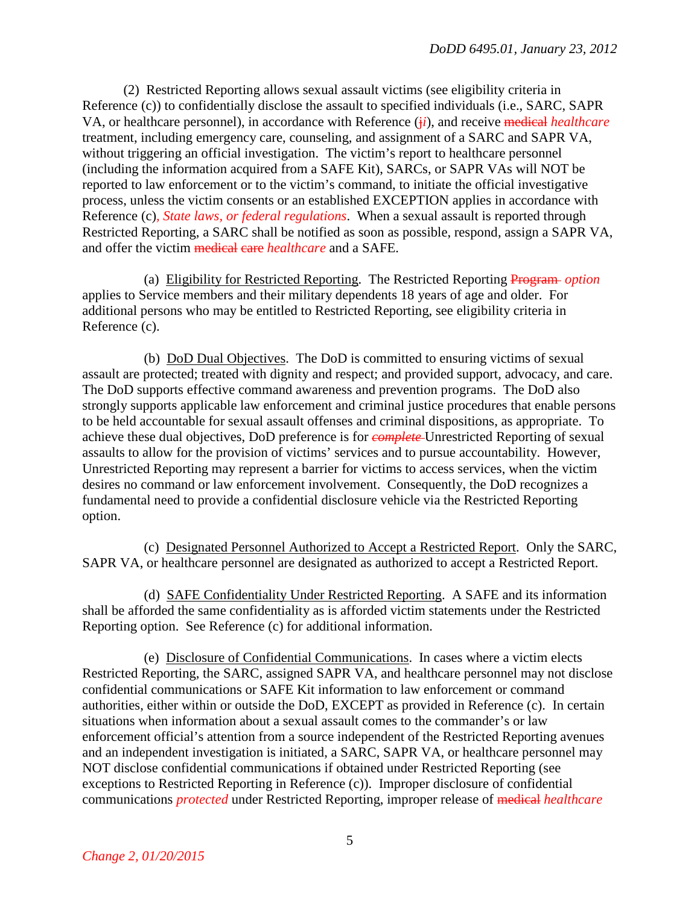(2) Restricted Reporting allows sexual assault victims (see eligibility criteria in Reference (c)) to confidentially disclose the assault to specified individuals (i.e., SARC, SAPR VA, or healthcare personnel), in accordance with Reference (j*i*), and receive medical *healthcare* treatment, including emergency care, counseling, and assignment of a SARC and SAPR VA, without triggering an official investigation. The victim's report to healthcare personnel (including the information acquired from a SAFE Kit), SARCs, or SAPR VAs will NOT be reported to law enforcement or to the victim's command, to initiate the official investigative process, unless the victim consents or an established EXCEPTION applies in accordance with Reference (c)*, State laws, or federal regulations*. When a sexual assault is reported through Restricted Reporting, a SARC shall be notified as soon as possible, respond, assign a SAPR VA, and offer the victim medical care *healthcare* and a SAFE.

(a) Eligibility for Restricted Reporting. The Restricted Reporting Program *option* applies to Service members and their military dependents 18 years of age and older. For additional persons who may be entitled to Restricted Reporting, see eligibility criteria in Reference (c).

(b) DoD Dual Objectives. The DoD is committed to ensuring victims of sexual assault are protected; treated with dignity and respect; and provided support, advocacy, and care. The DoD supports effective command awareness and prevention programs. The DoD also strongly supports applicable law enforcement and criminal justice procedures that enable persons to be held accountable for sexual assault offenses and criminal dispositions, as appropriate. To achieve these dual objectives, DoD preference is for *complete* Unrestricted Reporting of sexual assaults to allow for the provision of victims' services and to pursue accountability. However, Unrestricted Reporting may represent a barrier for victims to access services, when the victim desires no command or law enforcement involvement. Consequently, the DoD recognizes a fundamental need to provide a confidential disclosure vehicle via the Restricted Reporting option.

(c) Designated Personnel Authorized to Accept a Restricted Report. Only the SARC, SAPR VA, or healthcare personnel are designated as authorized to accept a Restricted Report.

(d) SAFE Confidentiality Under Restricted Reporting. A SAFE and its information shall be afforded the same confidentiality as is afforded victim statements under the Restricted Reporting option. See Reference (c) for additional information.

(e) Disclosure of Confidential Communications. In cases where a victim elects Restricted Reporting, the SARC, assigned SAPR VA, and healthcare personnel may not disclose confidential communications or SAFE Kit information to law enforcement or command authorities, either within or outside the DoD, EXCEPT as provided in Reference (c). In certain situations when information about a sexual assault comes to the commander's or law enforcement official's attention from a source independent of the Restricted Reporting avenues and an independent investigation is initiated, a SARC, SAPR VA, or healthcare personnel may NOT disclose confidential communications if obtained under Restricted Reporting (see exceptions to Restricted Reporting in Reference (c)). Improper disclosure of confidential communications *protected* under Restricted Reporting, improper release of medical *healthcare*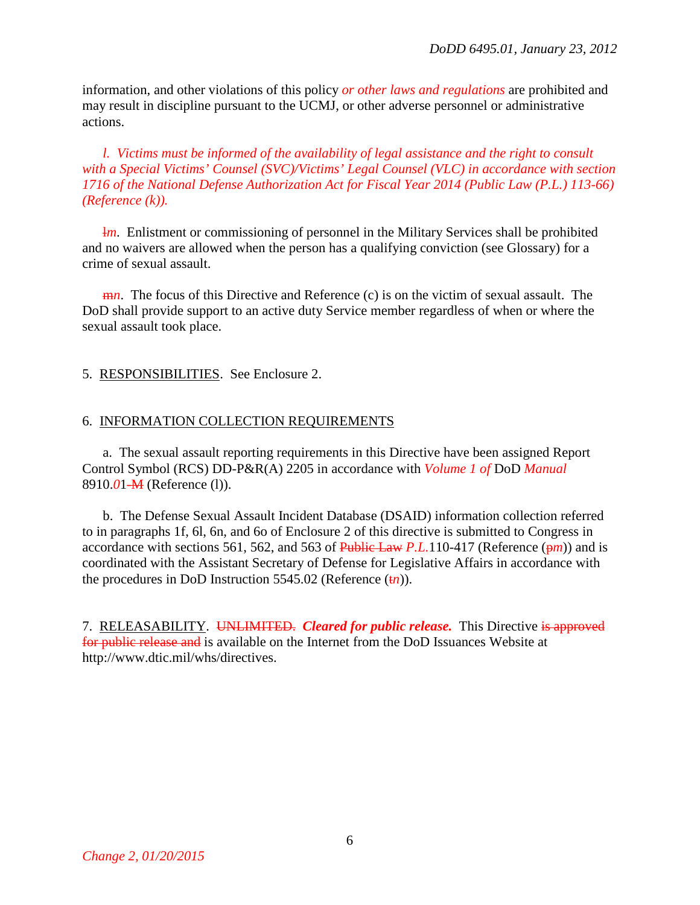information, and other violations of this policy *or other laws and regulations* are prohibited and may result in discipline pursuant to the UCMJ, or other adverse personnel or administrative actions.

*l. Victims must be informed of the availability of legal assistance and the right to consult with a Special Victims' Counsel (SVC)/Victims' Legal Counsel (VLC) in accordance with section 1716 of the National Defense Authorization Act for Fiscal Year 2014 (Public Law (P.L.) 113-66) (Reference (k)).* 

**lm.** Enlistment or commissioning of personnel in the Military Services shall be prohibited and no waivers are allowed when the person has a qualifying conviction (see Glossary) for a crime of sexual assault.

m*n*. The focus of this Directive and Reference (c) is on the victim of sexual assault. The DoD shall provide support to an active duty Service member regardless of when or where the sexual assault took place.

#### 5. RESPONSIBILITIES. See Enclosure 2.

#### 6. INFORMATION COLLECTION REQUIREMENTS

a. The sexual assault reporting requirements in this Directive have been assigned Report Control Symbol (RCS) DD-P&R(A) 2205 in accordance with *Volume 1 of* DoD *Manual* 8910.*0*1-M (Reference (l)).

b. The Defense Sexual Assault Incident Database (DSAID) information collection referred to in paragraphs 1f, 6l, 6n, and 6o of Enclosure 2 of this directive is submitted to Congress in accordance with sections 561, 562, and 563 of Public Law *P.L.*110-417 (Reference  $(\frac{pm}{n})$ ) and is coordinated with the Assistant Secretary of Defense for Legislative Affairs in accordance with the procedures in DoD Instruction 5545.02 (Reference  $(t_n)$ ).

7. RELEASABILITY. UNLIMITED. *Cleared for public release.* This Directive is approved for public release and is available on the Internet from the DoD Issuances Website at http://www.dtic.mil/whs/directives.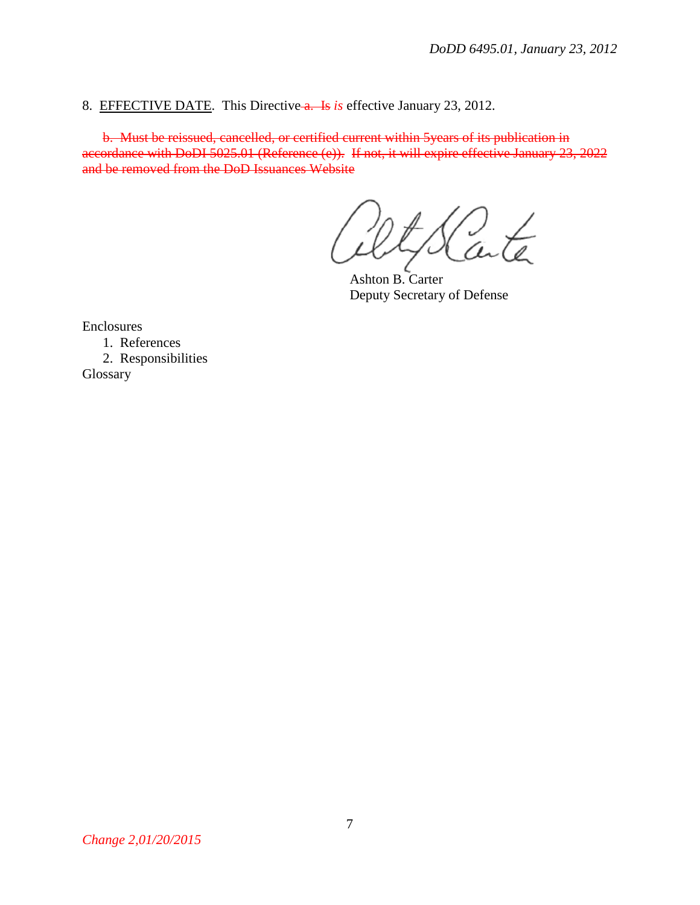8. EFFECTIVE DATE. This Directive a. Is *is* effective January 23, 2012.

b. Must be reissued, cancelled, or certified current within 5years of its publication in accordance with DoDI 5025.01 (Reference (e)). If not, it will expire effective January 23, 2022 and be removed from the DoD Issuances Website

Ashton B. Carter Deputy Secretary of Defense

Enclosures

1. References

2. Responsibilities Glossary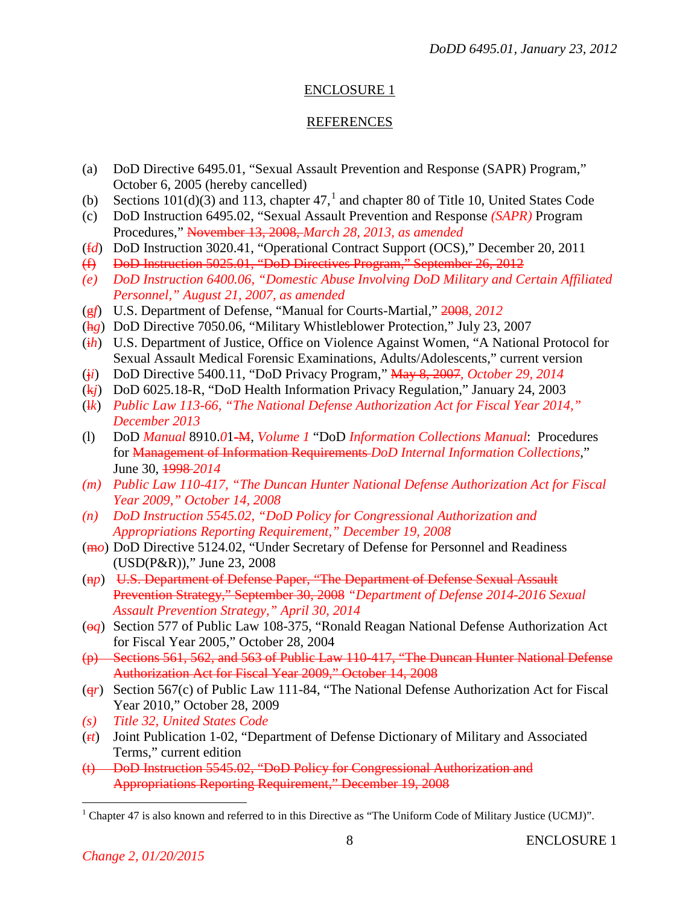## ENCLOSURE 1

## REFERENCES

- (a) DoD Directive 6495.01, "Sexual Assault Prevention and Response (SAPR) Program," October 6, 2005 (hereby cancelled)
- (b) Sections  $101(d)(3)$  $101(d)(3)$  and 113, chapter 47,<sup>1</sup> and chapter 80 of Title 10, United States Code
- (c) DoD Instruction 6495.02, "Sexual Assault Prevention and Response *(SAPR)* Program Procedures," November 13, 2008, *March 28, 2013, as amended*
- (f*d*) DoD Instruction 3020.41, "Operational Contract Support (OCS)," December 20, 2011
- (f) DoD Instruction 5025.01, "DoD Directives Program," September 26, 2012
- *(e) DoD Instruction 6400.06, "Domestic Abuse Involving DoD Military and Certain Affiliated Personnel," August 21, 2007, as amended*
- (g*f*) U.S. Department of Defense, "Manual for Courts-Martial," 2008*, 2012*
- (h*g*) DoD Directive 7050.06, "Military Whistleblower Protection," July 23, 2007
- (i*h*) U.S. Department of Justice, Office on Violence Against Women, "A National Protocol for Sexual Assault Medical Forensic Examinations, Adults/Adolescents," current version
- (j*i*) DoD Directive 5400.11, "DoD Privacy Program," May 8, 2007*, October 29, 2014*
- (k*j*) DoD 6025.18-R, "DoD Health Information Privacy Regulation," January 24, 2003
- (l*k*) *Public Law 113-66, "The National Defense Authorization Act for Fiscal Year 2014," December 2013*
- (l) DoD *Manual* 8910.*0*1-M, *Volume 1* "DoD *Information Collections Manual*: Procedures for Management of Information Requirements *DoD Internal Information Collections*," June 30, 1998 *2014*
- *(m) Public Law 110-417, "The Duncan Hunter National Defense Authorization Act for Fiscal Year 2009," October 14, 2008*
- *(n) DoD Instruction 5545.02, "DoD Policy for Congressional Authorization and Appropriations Reporting Requirement," December 19, 2008*
- (m*o*) DoD Directive 5124.02, "Under Secretary of Defense for Personnel and Readiness (USD(P&R))," June 23, 2008
- (n*p*) U.S. Department of Defense Paper, "The Department of Defense Sexual Assault Prevention Strategy," September 30, 2008 *"Department of Defense 2014-2016 Sexual Assault Prevention Strategy," April 30, 2014*
- (o*q*) Section 577 of Public Law 108-375, "Ronald Reagan National Defense Authorization Act for Fiscal Year 2005," October 28, 2004
- (p) Sections 561, 562, and 563 of Public Law 110-417, "The Duncan Hunter National Defense Authorization Act for Fiscal Year 2009," October 14, 2008
- (q*r*) Section 567(c) of Public Law 111-84, "The National Defense Authorization Act for Fiscal Year 2010," October 28, 2009
- *(s) Title 32, United States Code*
- (r*t*) Joint Publication 1-02, "Department of Defense Dictionary of Military and Associated Terms," current edition
- (t) DoD Instruction 5545.02, "DoD Policy for Congressional Authorization and Appropriations Reporting Requirement," December 19, 2008

<span id="page-7-0"></span> $1$  Chapter 47 is also known and referred to in this Directive as "The Uniform Code of Military Justice (UCMJ)".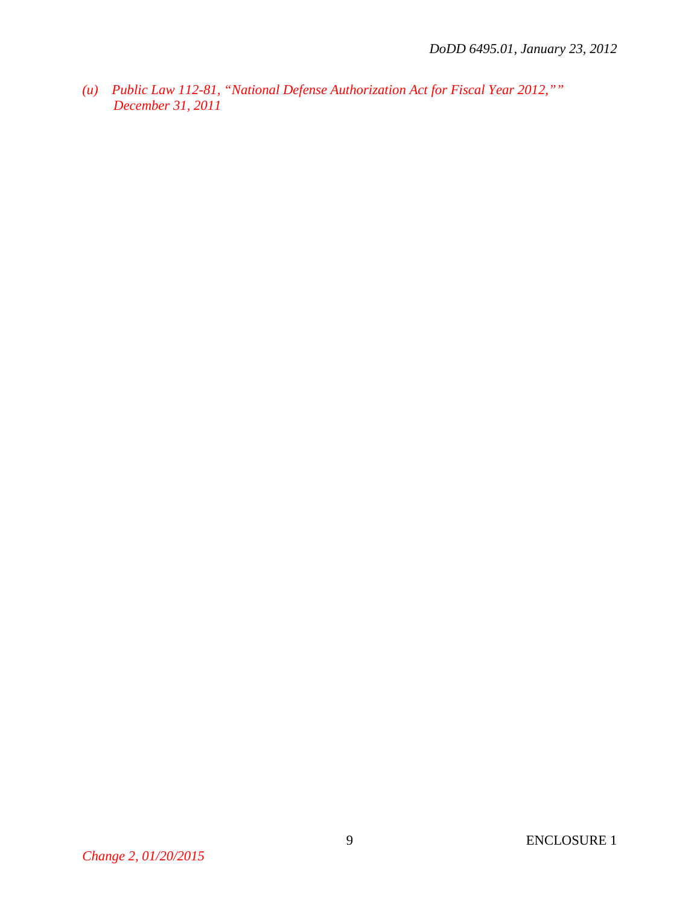*(u) Public Law 112-81, "National Defense Authorization Act for Fiscal Year 2012,"" December 31, 2011*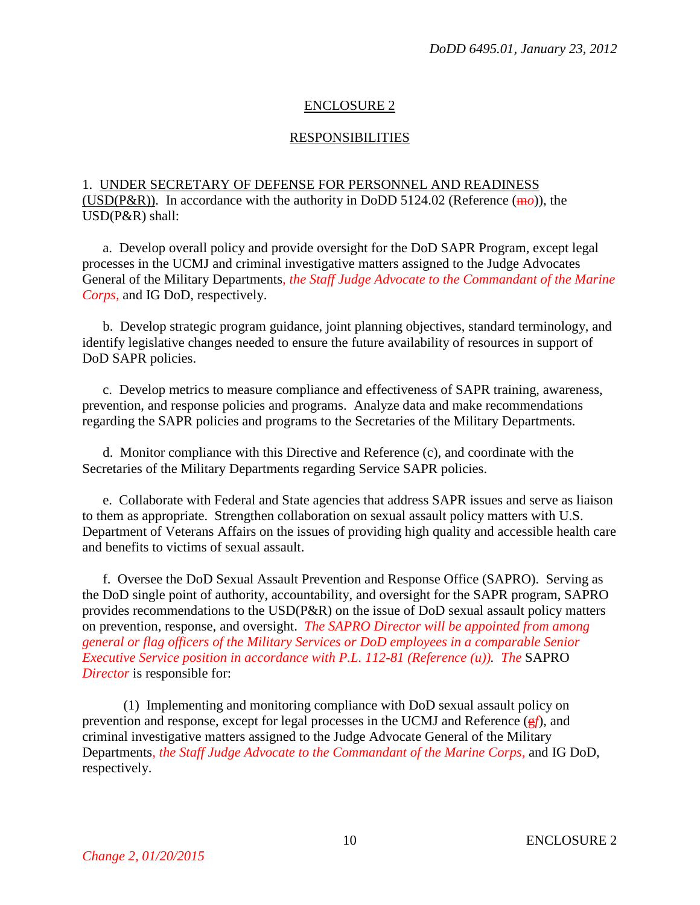# ENCLOSURE 2

## RESPONSIBILITIES

1. UNDER SECRETARY OF DEFENSE FOR PERSONNEL AND READINESS (USD(P&R)). In accordance with the authority in DoDD 5124.02 (Reference (m*o*)), the USD(P&R) shall:

a. Develop overall policy and provide oversight for the DoD SAPR Program, except legal processes in the UCMJ and criminal investigative matters assigned to the Judge Advocates General of the Military Departments*, the Staff Judge Advocate to the Commandant of the Marine Corps,* and IG DoD, respectively.

b. Develop strategic program guidance, joint planning objectives, standard terminology, and identify legislative changes needed to ensure the future availability of resources in support of DoD SAPR policies.

c. Develop metrics to measure compliance and effectiveness of SAPR training, awareness, prevention, and response policies and programs. Analyze data and make recommendations regarding the SAPR policies and programs to the Secretaries of the Military Departments.

d. Monitor compliance with this Directive and Reference (c), and coordinate with the Secretaries of the Military Departments regarding Service SAPR policies.

e. Collaborate with Federal and State agencies that address SAPR issues and serve as liaison to them as appropriate. Strengthen collaboration on sexual assault policy matters with U.S. Department of Veterans Affairs on the issues of providing high quality and accessible health care and benefits to victims of sexual assault.

f. Oversee the DoD Sexual Assault Prevention and Response Office (SAPRO). Serving as the DoD single point of authority, accountability, and oversight for the SAPR program, SAPRO provides recommendations to the USD(P&R) on the issue of DoD sexual assault policy matters on prevention, response, and oversight. *The SAPRO Director will be appointed from among general or flag officers of the Military Services or DoD employees in a comparable Senior Executive Service position in accordance with P.L. 112-81 (Reference (u)). The* SAPRO *Director* is responsible for:

(1) Implementing and monitoring compliance with DoD sexual assault policy on prevention and response, except for legal processes in the UCMJ and Reference (g*f*), and criminal investigative matters assigned to the Judge Advocate General of the Military Departments*, the Staff Judge Advocate to the Commandant of the Marine Corps,* and IG DoD, respectively.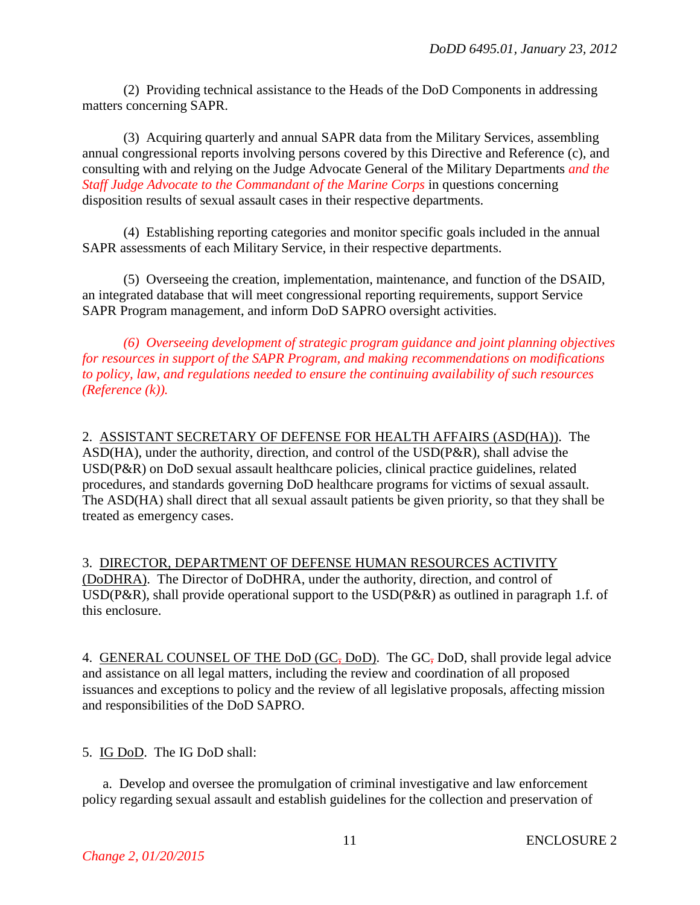(2) Providing technical assistance to the Heads of the DoD Components in addressing matters concerning SAPR.

(3) Acquiring quarterly and annual SAPR data from the Military Services, assembling annual congressional reports involving persons covered by this Directive and Reference (c), and consulting with and relying on the Judge Advocate General of the Military Departments *and the Staff Judge Advocate to the Commandant of the Marine Corps* in questions concerning disposition results of sexual assault cases in their respective departments.

(4) Establishing reporting categories and monitor specific goals included in the annual SAPR assessments of each Military Service, in their respective departments.

(5) Overseeing the creation, implementation, maintenance, and function of the DSAID, an integrated database that will meet congressional reporting requirements, support Service SAPR Program management, and inform DoD SAPRO oversight activities.

*(6) Overseeing development of strategic program guidance and joint planning objectives for resources in support of the SAPR Program, and making recommendations on modifications to policy, law, and regulations needed to ensure the continuing availability of such resources (Reference (k)).*

2. ASSISTANT SECRETARY OF DEFENSE FOR HEALTH AFFAIRS (ASD(HA)). The ASD(HA), under the authority, direction, and control of the USD(P&R), shall advise the USD(P&R) on DoD sexual assault healthcare policies, clinical practice guidelines, related procedures, and standards governing DoD healthcare programs for victims of sexual assault. The ASD(HA) shall direct that all sexual assault patients be given priority, so that they shall be treated as emergency cases.

3. DIRECTOR, DEPARTMENT OF DEFENSE HUMAN RESOURCES ACTIVITY (DoDHRA). The Director of DoDHRA, under the authority, direction, and control of USD(P&R), shall provide operational support to the USD(P&R) as outlined in paragraph 1.f. of this enclosure.

4. GENERAL COUNSEL OF THE DoD (GC, DoD). The GC, DoD, shall provide legal advice and assistance on all legal matters, including the review and coordination of all proposed issuances and exceptions to policy and the review of all legislative proposals, affecting mission and responsibilities of the DoD SAPRO.

5. IG DoD. The IG DoD shall:

a. Develop and oversee the promulgation of criminal investigative and law enforcement policy regarding sexual assault and establish guidelines for the collection and preservation of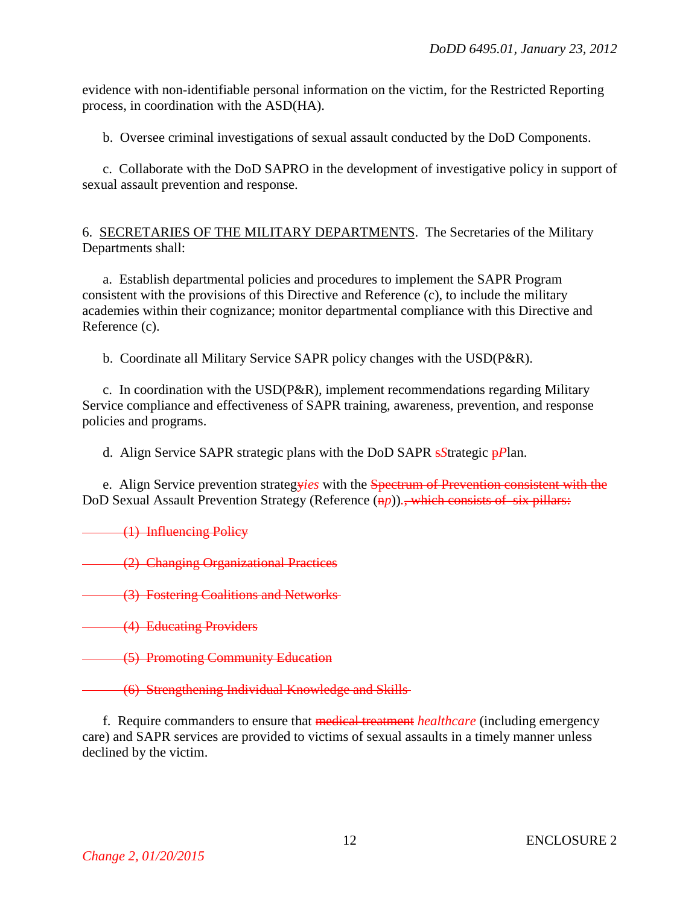evidence with non-identifiable personal information on the victim, for the Restricted Reporting process, in coordination with the ASD(HA).

b. Oversee criminal investigations of sexual assault conducted by the DoD Components.

c. Collaborate with the DoD SAPRO in the development of investigative policy in support of sexual assault prevention and response.

## 6. SECRETARIES OF THE MILITARY DEPARTMENTS. The Secretaries of the Military Departments shall:

a. Establish departmental policies and procedures to implement the SAPR Program consistent with the provisions of this Directive and Reference (c), to include the military academies within their cognizance; monitor departmental compliance with this Directive and Reference (c).

b. Coordinate all Military Service SAPR policy changes with the USD(P&R).

c. In coordination with the USD(P&R), implement recommendations regarding Military Service compliance and effectiveness of SAPR training, awareness, prevention, and response policies and programs.

d. Align Service SAPR strategic plans with the DoD SAPR s*S*trategic p*P*lan.

e. Align Service prevention strategy*ies* with the Spectrum of Prevention consistent with the DoD Sexual Assault Prevention Strategy (Reference (n<sub>p</sub>)). which consists of six pillars:

(1) Influencing Policy

(2) Changing Organizational Practices

(3) Fostering Coalitions and Networks

**(4) Educating Providers** 

(5) Promoting Community Education

(6) Strengthening Individual Knowledge and Skills

f. Require commanders to ensure that medical treatment *healthcare* (including emergency care) and SAPR services are provided to victims of sexual assaults in a timely manner unless declined by the victim.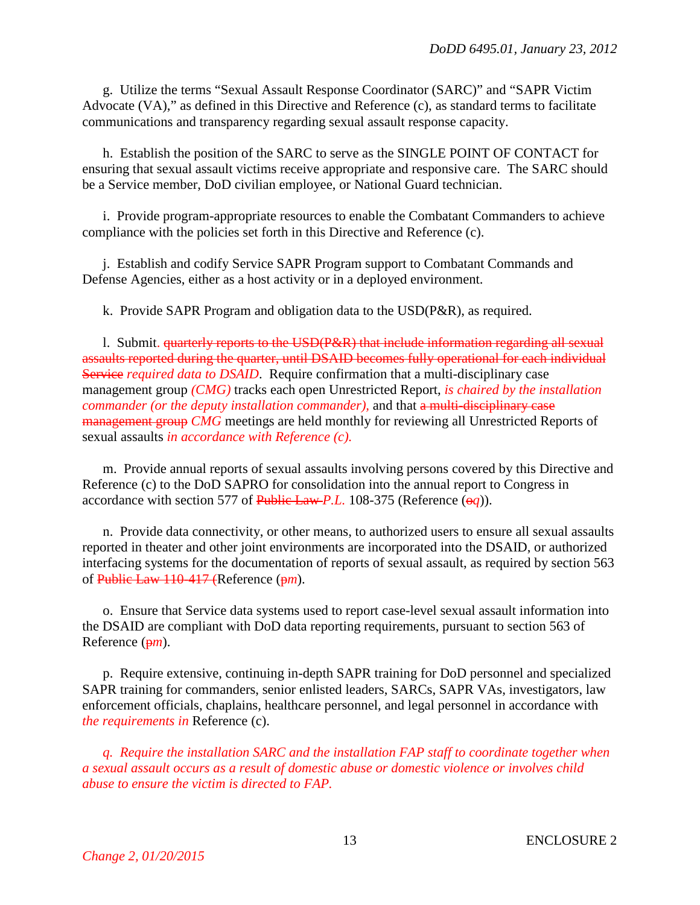g. Utilize the terms "Sexual Assault Response Coordinator (SARC)" and "SAPR Victim Advocate (VA)," as defined in this Directive and Reference (c), as standard terms to facilitate communications and transparency regarding sexual assault response capacity.

h. Establish the position of the SARC to serve as the SINGLE POINT OF CONTACT for ensuring that sexual assault victims receive appropriate and responsive care. The SARC should be a Service member, DoD civilian employee, or National Guard technician.

i. Provide program-appropriate resources to enable the Combatant Commanders to achieve compliance with the policies set forth in this Directive and Reference (c).

j. Establish and codify Service SAPR Program support to Combatant Commands and Defense Agencies, either as a host activity or in a deployed environment.

k. Provide SAPR Program and obligation data to the USD(P&R), as required.

l. Submit. quarterly reports to the USD(P&R) that include information regarding all sexual assaults reported during the quarter, until DSAID becomes fully operational for each individual Service *required data to DSAID*. Require confirmation that a multi-disciplinary case management group *(CMG)* tracks each open Unrestricted Report, *is chaired by the installation commander (or the deputy installation commander),* and that a multi-disciplinary case management group *CMG* meetings are held monthly for reviewing all Unrestricted Reports of sexual assaults *in accordance with Reference (c).*

m. Provide annual reports of sexual assaults involving persons covered by this Directive and Reference (c) to the DoD SAPRO for consolidation into the annual report to Congress in accordance with section 577 of Public Law *P.L.* 108-375 (Reference  $(\Theta q)$ ).

n. Provide data connectivity, or other means, to authorized users to ensure all sexual assaults reported in theater and other joint environments are incorporated into the DSAID, or authorized interfacing systems for the documentation of reports of sexual assault, as required by section 563 of Public Law 110-417 (Reference (p*m*).

o. Ensure that Service data systems used to report case-level sexual assault information into the DSAID are compliant with DoD data reporting requirements, pursuant to section 563 of Reference (p*m*).

p. Require extensive, continuing in-depth SAPR training for DoD personnel and specialized SAPR training for commanders, senior enlisted leaders, SARCs, SAPR VAs, investigators, law enforcement officials, chaplains, healthcare personnel, and legal personnel in accordance with *the requirements in* Reference (c).

*q. Require the installation SARC and the installation FAP staff to coordinate together when a sexual assault occurs as a result of domestic abuse or domestic violence or involves child abuse to ensure the victim is directed to FAP.*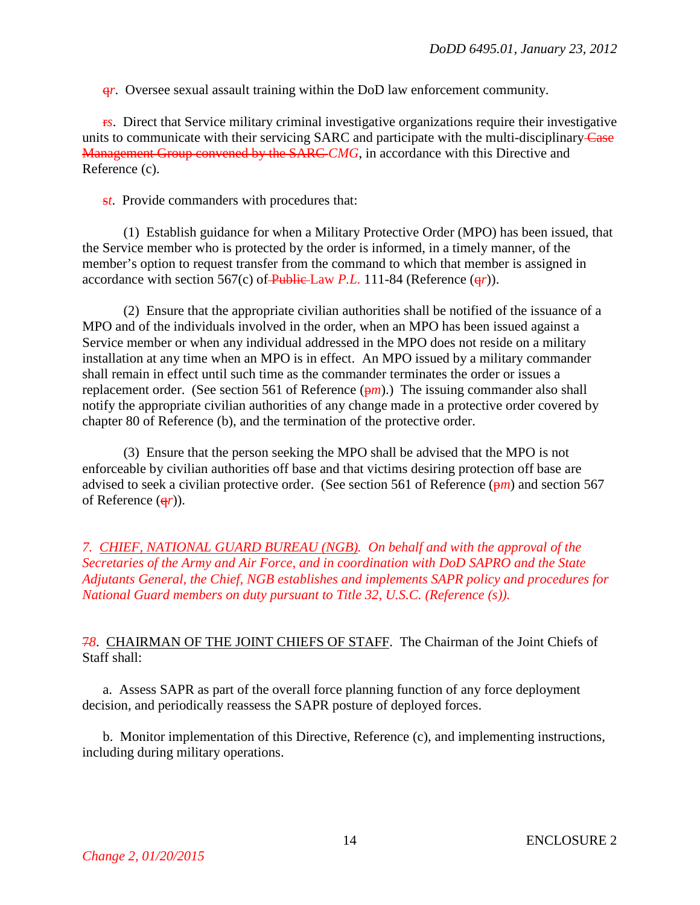q*r*. Oversee sexual assault training within the DoD law enforcement community.

r*s*. Direct that Service military criminal investigative organizations require their investigative units to communicate with their servicing SARC and participate with the multi-disciplinary-Case Management Group convened by the SARC *CMG*, in accordance with this Directive and Reference (c).

s*t*. Provide commanders with procedures that:

(1) Establish guidance for when a Military Protective Order (MPO) has been issued, that the Service member who is protected by the order is informed, in a timely manner, of the member's option to request transfer from the command to which that member is assigned in accordance with section 567(c) of Public Law *P.L.* 111-84 (Reference (q*r*)).

(2) Ensure that the appropriate civilian authorities shall be notified of the issuance of a MPO and of the individuals involved in the order, when an MPO has been issued against a Service member or when any individual addressed in the MPO does not reside on a military installation at any time when an MPO is in effect. An MPO issued by a military commander shall remain in effect until such time as the commander terminates the order or issues a replacement order. (See section 561 of Reference  $(\frac{pm}{})$ .) The issuing commander also shall notify the appropriate civilian authorities of any change made in a protective order covered by chapter 80 of Reference (b), and the termination of the protective order.

(3) Ensure that the person seeking the MPO shall be advised that the MPO is not enforceable by civilian authorities off base and that victims desiring protection off base are advised to seek a civilian protective order. (See section 561 of Reference (p*m*) and section 567 of Reference (q*r*)).

*7. CHIEF, NATIONAL GUARD BUREAU (NGB). On behalf and with the approval of the Secretaries of the Army and Air Force, and in coordination with DoD SAPRO and the State Adjutants General, the Chief, NGB establishes and implements SAPR policy and procedures for National Guard members on duty pursuant to Title 32, U.S.C. (Reference (s)).*

## 7*8*. CHAIRMAN OF THE JOINT CHIEFS OF STAFF. The Chairman of the Joint Chiefs of Staff shall:

a. Assess SAPR as part of the overall force planning function of any force deployment decision, and periodically reassess the SAPR posture of deployed forces.

b. Monitor implementation of this Directive, Reference (c), and implementing instructions, including during military operations.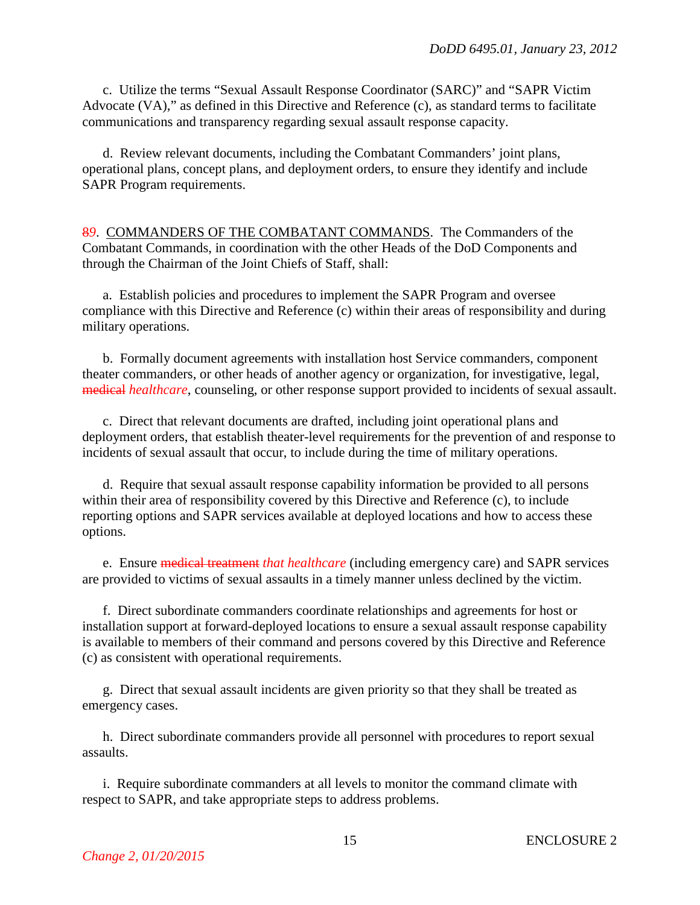c. Utilize the terms "Sexual Assault Response Coordinator (SARC)" and "SAPR Victim Advocate (VA)," as defined in this Directive and Reference (c), as standard terms to facilitate communications and transparency regarding sexual assault response capacity.

d. Review relevant documents, including the Combatant Commanders' joint plans, operational plans, concept plans, and deployment orders, to ensure they identify and include SAPR Program requirements.

8*9*. COMMANDERS OF THE COMBATANT COMMANDS. The Commanders of the Combatant Commands, in coordination with the other Heads of the DoD Components and through the Chairman of the Joint Chiefs of Staff, shall:

a. Establish policies and procedures to implement the SAPR Program and oversee compliance with this Directive and Reference (c) within their areas of responsibility and during military operations.

b. Formally document agreements with installation host Service commanders, component theater commanders, or other heads of another agency or organization, for investigative, legal, medical *healthcare*, counseling, or other response support provided to incidents of sexual assault.

c. Direct that relevant documents are drafted, including joint operational plans and deployment orders, that establish theater-level requirements for the prevention of and response to incidents of sexual assault that occur, to include during the time of military operations.

d. Require that sexual assault response capability information be provided to all persons within their area of responsibility covered by this Directive and Reference (c), to include reporting options and SAPR services available at deployed locations and how to access these options.

e. Ensure medical treatment *that healthcare* (including emergency care) and SAPR services are provided to victims of sexual assaults in a timely manner unless declined by the victim.

f. Direct subordinate commanders coordinate relationships and agreements for host or installation support at forward-deployed locations to ensure a sexual assault response capability is available to members of their command and persons covered by this Directive and Reference (c) as consistent with operational requirements.

g. Direct that sexual assault incidents are given priority so that they shall be treated as emergency cases.

h. Direct subordinate commanders provide all personnel with procedures to report sexual assaults.

i. Require subordinate commanders at all levels to monitor the command climate with respect to SAPR, and take appropriate steps to address problems.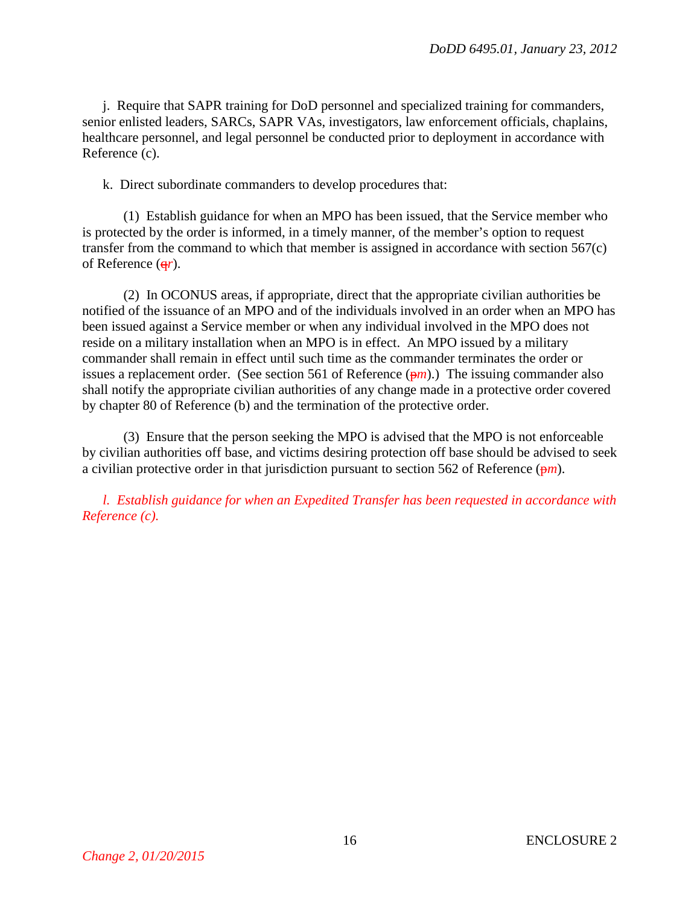j. Require that SAPR training for DoD personnel and specialized training for commanders, senior enlisted leaders, SARCs, SAPR VAs, investigators, law enforcement officials, chaplains, healthcare personnel, and legal personnel be conducted prior to deployment in accordance with Reference (c).

k. Direct subordinate commanders to develop procedures that:

(1) Establish guidance for when an MPO has been issued, that the Service member who is protected by the order is informed, in a timely manner, of the member's option to request transfer from the command to which that member is assigned in accordance with section 567(c) of Reference (q*r*).

(2) In OCONUS areas, if appropriate, direct that the appropriate civilian authorities be notified of the issuance of an MPO and of the individuals involved in an order when an MPO has been issued against a Service member or when any individual involved in the MPO does not reside on a military installation when an MPO is in effect. An MPO issued by a military commander shall remain in effect until such time as the commander terminates the order or issues a replacement order. (See section 561 of Reference  $(\frac{pm}{n})$ .) The issuing commander also shall notify the appropriate civilian authorities of any change made in a protective order covered by chapter 80 of Reference (b) and the termination of the protective order.

(3) Ensure that the person seeking the MPO is advised that the MPO is not enforceable by civilian authorities off base, and victims desiring protection off base should be advised to seek a civilian protective order in that jurisdiction pursuant to section 562 of Reference  $(\frac{pm}{n})$ .

*l. Establish guidance for when an Expedited Transfer has been requested in accordance with Reference (c).*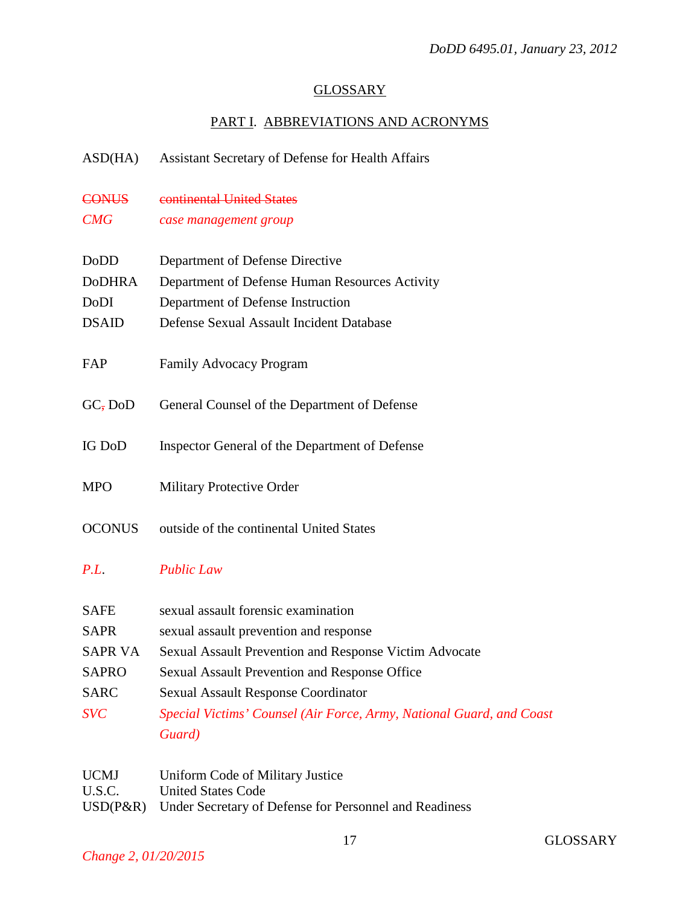## **GLOSSARY**

## PART I. ABBREVIATIONS AND ACRONYMS

ASD(HA) Assistant Secretary of Defense for Health Affairs

- CONUS continental United States
- *CMG case management group*

| DoDD   | Department of Defense Directive                |
|--------|------------------------------------------------|
| DoDHRA | Department of Defense Human Resources Activity |
| DoDI   | Department of Defense Instruction              |

- DSAID Defense Sexual Assault Incident Database
- FAP Family Advocacy Program
- GC, DoD General Counsel of the Department of Defense
- IG DoD Inspector General of the Department of Defense
- MPO Military Protective Order
- OCONUS outside of the continental United States

## *P.L*. *Public Law*

| Special Victims' Counsel (Air Force, Army, National Guard, and Coast |
|----------------------------------------------------------------------|
|                                                                      |
|                                                                      |

| <b>UCMJ</b> | Uniform Code of Military Justice                                |
|-------------|-----------------------------------------------------------------|
| U.S.C.      | <b>United States Code</b>                                       |
|             | USD(P&R) Under Secretary of Defense for Personnel and Readiness |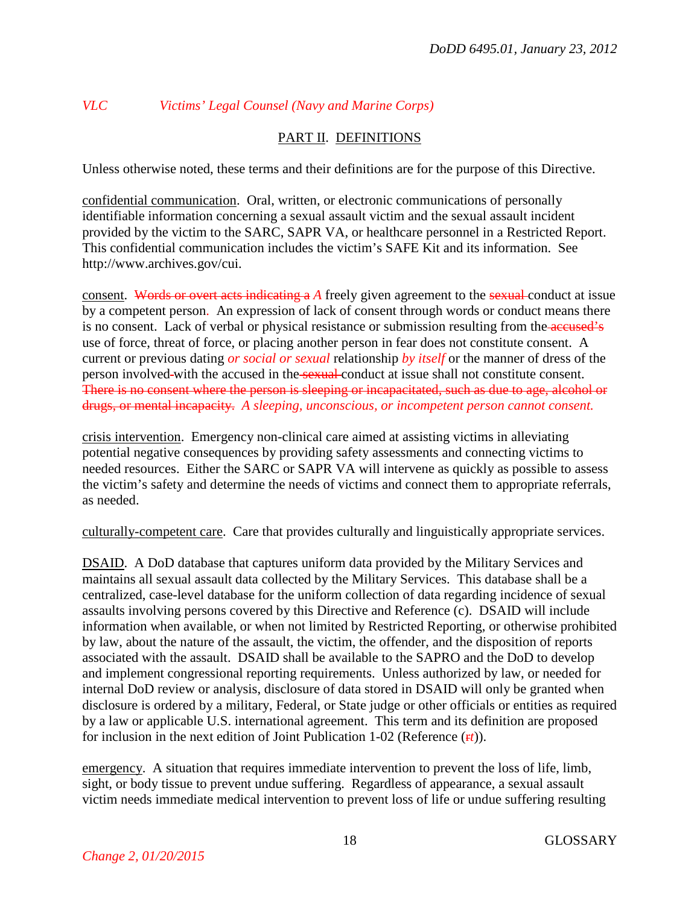# *VLC Victims' Legal Counsel (Navy and Marine Corps)*

## PART II. DEFINITIONS

Unless otherwise noted, these terms and their definitions are for the purpose of this Directive.

confidential communication. Oral, written, or electronic communications of personally identifiable information concerning a sexual assault victim and the sexual assault incident provided by the victim to the SARC, SAPR VA, or healthcare personnel in a Restricted Report. This confidential communication includes the victim's SAFE Kit and its information. See http://www.archives.gov/cui.

consent. Words or overt acts indicating a A freely given agreement to the sexual conduct at issue by a competent person. An expression of lack of consent through words or conduct means there is no consent. Lack of verbal or physical resistance or submission resulting from the accused's use of force, threat of force, or placing another person in fear does not constitute consent. A current or previous dating *or social or sexual* relationship *by itself* or the manner of dress of the person involved-with the accused in the sexual conduct at issue shall not constitute consent. There is no consent where the person is sleeping or incapacitated, such as due to age, alcohol or drugs, or mental incapacity. *A sleeping, unconscious, or incompetent person cannot consent.*

crisis intervention. Emergency non-clinical care aimed at assisting victims in alleviating potential negative consequences by providing safety assessments and connecting victims to needed resources. Either the SARC or SAPR VA will intervene as quickly as possible to assess the victim's safety and determine the needs of victims and connect them to appropriate referrals, as needed.

culturally-competent care. Care that provides culturally and linguistically appropriate services.

DSAID. A DoD database that captures uniform data provided by the Military Services and maintains all sexual assault data collected by the Military Services. This database shall be a centralized, case-level database for the uniform collection of data regarding incidence of sexual assaults involving persons covered by this Directive and Reference (c). DSAID will include information when available, or when not limited by Restricted Reporting, or otherwise prohibited by law, about the nature of the assault, the victim, the offender, and the disposition of reports associated with the assault. DSAID shall be available to the SAPRO and the DoD to develop and implement congressional reporting requirements. Unless authorized by law, or needed for internal DoD review or analysis, disclosure of data stored in DSAID will only be granted when disclosure is ordered by a military, Federal, or State judge or other officials or entities as required by a law or applicable U.S. international agreement. This term and its definition are proposed for inclusion in the next edition of Joint Publication 1-02 (Reference ( $\mathbf{r}t$ )).

emergency. A situation that requires immediate intervention to prevent the loss of life, limb, sight, or body tissue to prevent undue suffering. Regardless of appearance, a sexual assault victim needs immediate medical intervention to prevent loss of life or undue suffering resulting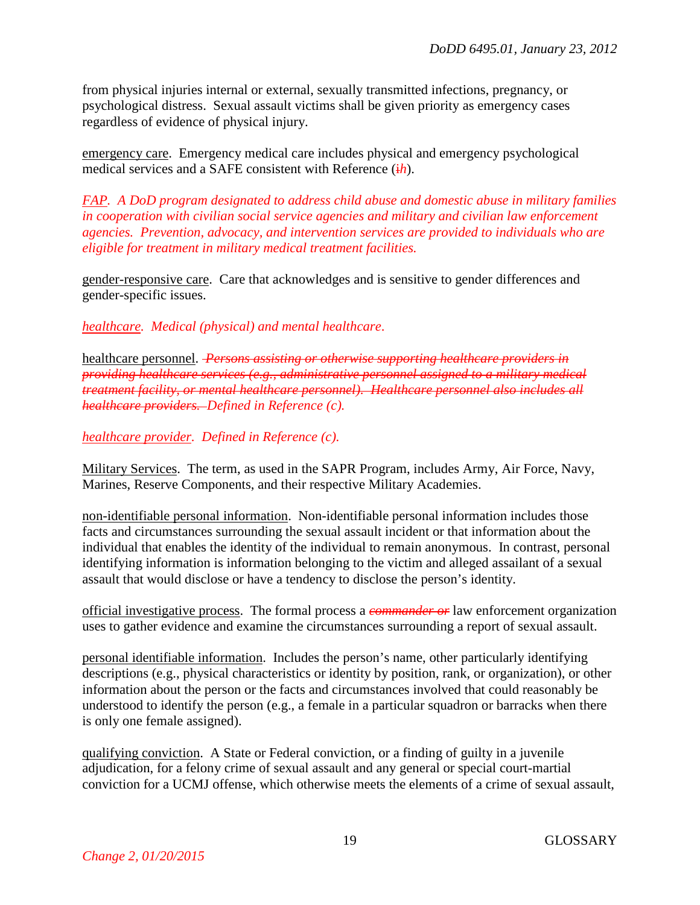from physical injuries internal or external, sexually transmitted infections, pregnancy, or psychological distress. Sexual assault victims shall be given priority as emergency cases regardless of evidence of physical injury.

emergency care. Emergency medical care includes physical and emergency psychological medical services and a SAFE consistent with Reference ( $\frac{1}{h}$ ).

*FAP. A DoD program designated to address child abuse and domestic abuse in military families in cooperation with civilian social service agencies and military and civilian law enforcement agencies. Prevention, advocacy, and intervention services are provided to individuals who are eligible for treatment in military medical treatment facilities.*

gender-responsive care. Care that acknowledges and is sensitive to gender differences and gender-specific issues.

*healthcare. Medical (physical) and mental healthcare*.

healthcare personnel. *Persons assisting or otherwise supporting healthcare providers in providing healthcare services (e.g., administrative personnel assigned to a military medical treatment facility, or mental healthcare personnel). Healthcare personnel also includes all healthcare providers. Defined in Reference (c).*

*healthcare provider. Defined in Reference (c).*

Military Services. The term, as used in the SAPR Program, includes Army, Air Force, Navy, Marines, Reserve Components, and their respective Military Academies.

non-identifiable personal information. Non-identifiable personal information includes those facts and circumstances surrounding the sexual assault incident or that information about the individual that enables the identity of the individual to remain anonymous. In contrast, personal identifying information is information belonging to the victim and alleged assailant of a sexual assault that would disclose or have a tendency to disclose the person's identity.

official investigative process. The formal process a *commander or* law enforcement organization uses to gather evidence and examine the circumstances surrounding a report of sexual assault.

personal identifiable information. Includes the person's name, other particularly identifying descriptions (e.g., physical characteristics or identity by position, rank, or organization), or other information about the person or the facts and circumstances involved that could reasonably be understood to identify the person (e.g., a female in a particular squadron or barracks when there is only one female assigned).

qualifying conviction. A State or Federal conviction, or a finding of guilty in a juvenile adjudication, for a felony crime of sexual assault and any general or special court-martial conviction for a UCMJ offense, which otherwise meets the elements of a crime of sexual assault,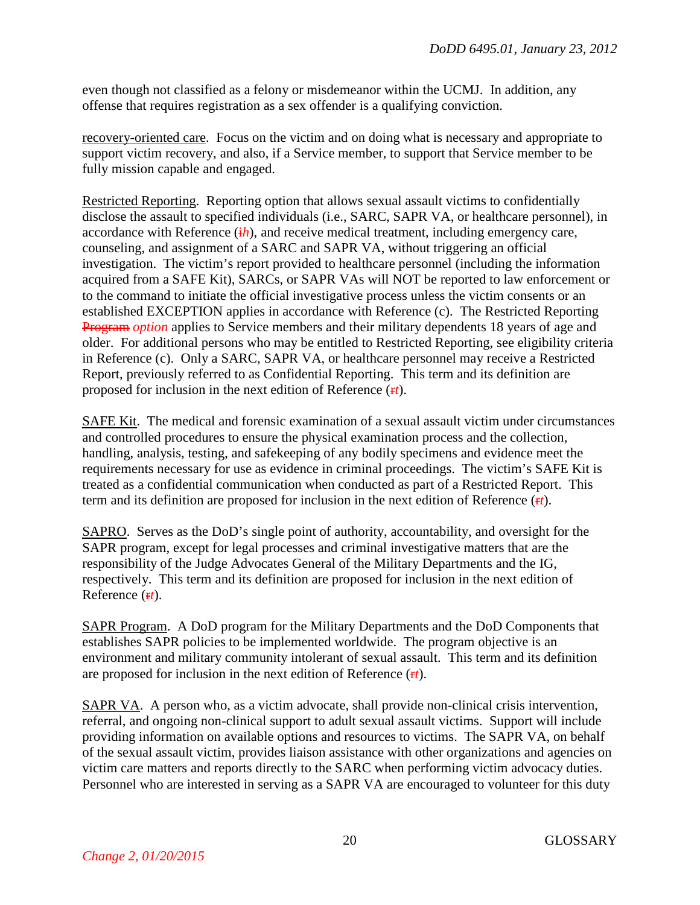even though not classified as a felony or misdemeanor within the UCMJ. In addition, any offense that requires registration as a sex offender is a qualifying conviction.

recovery-oriented care. Focus on the victim and on doing what is necessary and appropriate to support victim recovery, and also, if a Service member, to support that Service member to be fully mission capable and engaged.

Restricted Reporting. Reporting option that allows sexual assault victims to confidentially disclose the assault to specified individuals (i.e., SARC, SAPR VA, or healthcare personnel), in accordance with Reference  $(ih)$ , and receive medical treatment, including emergency care, counseling, and assignment of a SARC and SAPR VA, without triggering an official investigation. The victim's report provided to healthcare personnel (including the information acquired from a SAFE Kit), SARCs, or SAPR VAs will NOT be reported to law enforcement or to the command to initiate the official investigative process unless the victim consents or an established EXCEPTION applies in accordance with Reference (c). The Restricted Reporting Program *option* applies to Service members and their military dependents 18 years of age and older. For additional persons who may be entitled to Restricted Reporting, see eligibility criteria in Reference (c). Only a SARC, SAPR VA, or healthcare personnel may receive a Restricted Report, previously referred to as Confidential Reporting. This term and its definition are proposed for inclusion in the next edition of Reference ( $\mathbf{r}t$ ).

SAFE Kit. The medical and forensic examination of a sexual assault victim under circumstances and controlled procedures to ensure the physical examination process and the collection, handling, analysis, testing, and safekeeping of any bodily specimens and evidence meet the requirements necessary for use as evidence in criminal proceedings. The victim's SAFE Kit is treated as a confidential communication when conducted as part of a Restricted Report. This term and its definition are proposed for inclusion in the next edition of Reference  $(\mathbf{r}t)$ .

SAPRO. Serves as the DoD's single point of authority, accountability, and oversight for the SAPR program, except for legal processes and criminal investigative matters that are the responsibility of the Judge Advocates General of the Military Departments and the IG, respectively. This term and its definition are proposed for inclusion in the next edition of Reference (r*t*).

SAPR Program. A DoD program for the Military Departments and the DoD Components that establishes SAPR policies to be implemented worldwide. The program objective is an environment and military community intolerant of sexual assault. This term and its definition are proposed for inclusion in the next edition of Reference (r*t*).

SAPR VA. A person who, as a victim advocate, shall provide non-clinical crisis intervention, referral, and ongoing non-clinical support to adult sexual assault victims. Support will include providing information on available options and resources to victims. The SAPR VA, on behalf of the sexual assault victim, provides liaison assistance with other organizations and agencies on victim care matters and reports directly to the SARC when performing victim advocacy duties. Personnel who are interested in serving as a SAPR VA are encouraged to volunteer for this duty